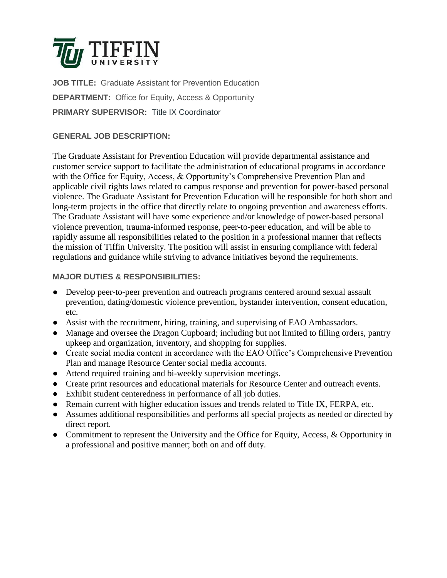

**JOB TITLE:** Graduate Assistant for Prevention Education **DEPARTMENT:** Office for Equity, Access & Opportunity **PRIMARY SUPERVISOR:** Title IX Coordinator

# **GENERAL JOB DESCRIPTION:**

The Graduate Assistant for Prevention Education will provide departmental assistance and customer service support to facilitate the administration of educational programs in accordance with the Office for Equity, Access, & Opportunity's Comprehensive Prevention Plan and applicable civil rights laws related to campus response and prevention for power-based personal violence. The Graduate Assistant for Prevention Education will be responsible for both short and long-term projects in the office that directly relate to ongoing prevention and awareness efforts. The Graduate Assistant will have some experience and/or knowledge of power-based personal violence prevention, trauma-informed response, peer-to-peer education, and will be able to rapidly assume all responsibilities related to the position in a professional manner that reflects the mission of Tiffin University. The position will assist in ensuring compliance with federal regulations and guidance while striving to advance initiatives beyond the requirements.

## **MAJOR DUTIES & RESPONSIBILITIES:**

- Develop peer-to-peer prevention and outreach programs centered around sexual assault prevention, dating/domestic violence prevention, bystander intervention, consent education, etc.
- Assist with the recruitment, hiring, training, and supervising of EAO Ambassadors.
- Manage and oversee the Dragon Cupboard; including but not limited to filling orders, pantry upkeep and organization, inventory, and shopping for supplies.
- Create social media content in accordance with the EAO Office's Comprehensive Prevention Plan and manage Resource Center social media accounts.
- Attend required training and bi-weekly supervision meetings.
- Create print resources and educational materials for Resource Center and outreach events.
- Exhibit student centeredness in performance of all job duties.
- Remain current with higher education issues and trends related to Title IX, FERPA, etc.
- Assumes additional responsibilities and performs all special projects as needed or directed by direct report.
- Commitment to represent the University and the Office for Equity, Access, & Opportunity in a professional and positive manner; both on and off duty.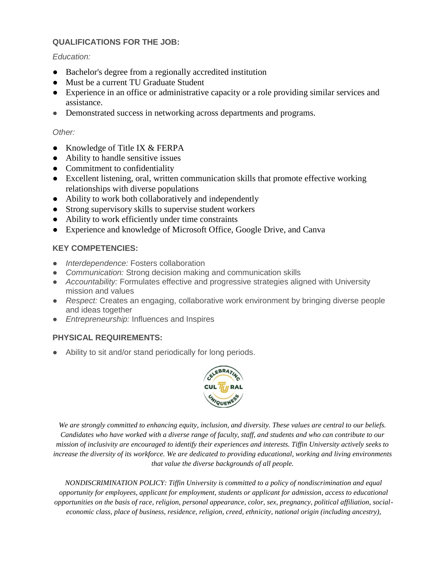### **QUALIFICATIONS FOR THE JOB:**

#### *Education:*

- Bachelor's degree from a regionally accredited institution
- Must be a current TU Graduate Student
- Experience in an office or administrative capacity or a role providing similar services and assistance.
- Demonstrated success in networking across departments and programs.

### *Other:*

- Knowledge of Title IX & FERPA
- Ability to handle sensitive issues
- Commitment to confidentiality
- Excellent listening, oral, written communication skills that promote effective working relationships with diverse populations
- Ability to work both collaboratively and independently
- Strong supervisory skills to supervise student workers
- Ability to work efficiently under time constraints
- Experience and knowledge of Microsoft Office, Google Drive, and Canva

## **KEY COMPETENCIES:**

- *Interdependence:* Fosters collaboration
- *Communication:* Strong decision making and communication skills
- *Accountability:* Formulates effective and progressive strategies aligned with University mission and values
- *Respect:* Creates an engaging, collaborative work environment by bringing diverse people and ideas together
- *Entrepreneurship:* Influences and Inspires

## **PHYSICAL REQUIREMENTS:**

Ability to sit and/or stand periodically for long periods.



*We are strongly committed to enhancing equity, inclusion, and diversity. These values are central to our beliefs. Candidates who have worked with a diverse range of faculty, staff, and students and who can contribute to our mission of inclusivity are encouraged to identify their experiences and interests. Tiffin University actively seeks to increase the diversity of its workforce. We are dedicated to providing educational, working and living environments that value the diverse backgrounds of all people.*

*NONDISCRIMINATION POLICY: Tiffin University is committed to a policy of nondiscrimination and equal opportunity for employees, applicant for employment, students or applicant for admission, access to educational opportunities on the basis of race, religion, personal appearance, color, sex, pregnancy, political affiliation, socialeconomic class, place of business, residence, religion, creed, ethnicity, national origin (including ancestry),*